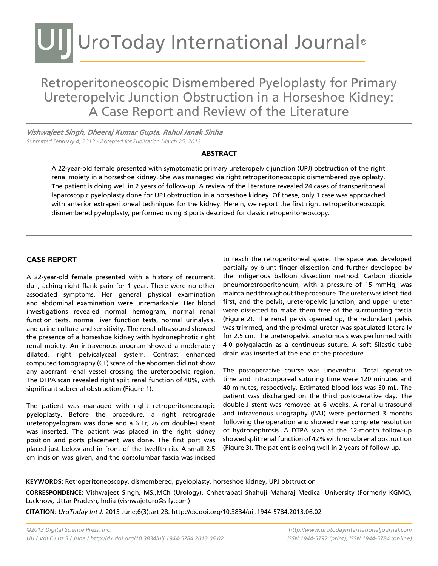### UIJ UroToday International Journal®

Retroperitoneoscopic Dismembered Pyeloplasty for Primary Ureteropelvic Junction Obstruction in a Horseshoe Kidney: A Case Report and Review of the Literature

*Vishwajeet Singh, Dheeraj Kumar Gupta, Rahul Janak Sinha* Submitted February 4, 2013 - Accepted for Publication March 25, 2013

### **Abstract**

A 22-year-old female presented with symptomatic primary ureteropelvic junction (UPJ) obstruction of the right renal moiety in a horseshoe kidney. She was managed via right retroperitoneoscopic dismembered pyeloplasty. The patient is doing well in 2 years of follow-up. A review of the literature revealed 24 cases of transperitoneal laparoscopic pyeloplasty done for UPJ obstruction in a horseshoe kidney. Of these, only 1 case was approached with anterior extraperitoneal techniques for the kidney. Herein, we report the first right retroperitoneoscopic dismembered pyeloplasty, performed using 3 ports described for classic retroperitoneoscopy.

### **CASE REPORT**

A 22-year-old female presented with a history of recurrent, dull, aching right flank pain for 1 year. There were no other associated symptoms. Her general physical examination and abdominal examination were unremarkable. Her blood investigations revealed normal hemogram, normal renal function tests, normal liver function tests, normal urinalysis, and urine culture and sensitivity. The renal ultrasound showed the presence of a horseshoe kidney with hydronephrotic right renal moiety. An intravenous urogram showed a moderately dilated, right pelvicalyceal system. Contrast enhanced computed tomography (CT) scans of the abdomen did not show any aberrant renal vessel crossing the ureteropelvic region. The DTPA scan revealed right spilt renal function of 40%, with significant subrenal obstruction (Figure 1).

The patient was managed with right retroperitoneoscopic pyeloplasty. Before the procedure, a right retrograde ureteropyelogram was done and a 6 Fr, 26 cm double-J stent was inserted. The patient was placed in the right kidney position and ports placement was done. The first port was placed just below and in front of the twelfth rib. A small 2.5 cm incision was given, and the dorsolumbar fascia was incised

to reach the retroperitoneal space. The space was developed partially by blunt finger dissection and further developed by the indigenous balloon dissection method. Carbon dioxide pneumoretroperitoneum, with a pressure of 15 mmHg, was maintained throughout the procedure. The ureter was identified first, and the pelvis, ureteropelvic junction, and upper ureter were dissected to make them free of the surrounding fascia (Figure 2). The renal pelvis opened up, the redundant pelvis was trimmed, and the proximal ureter was spatulated laterally for 2.5 cm. The ureteropelvic anastomosis was performed with 4-0 polygalactin as a continuous suture. A soft Silastic tube drain was inserted at the end of the procedure.

The postoperative course was uneventful. Total operative time and intracorporeal suturing time were 120 minutes and 40 minutes, respectively. Estimated blood loss was 50 mL. The patient was discharged on the third postoperative day. The double-J stent was removed at 6 weeks. A renal ultrasound and intravenous urography (IVU) were performed 3 months following the operation and showed near complete resolution of hydronephrosis. A DTPA scan at the 12-month follow-up showed split renal function of 42% with no subrenal obstruction (Figure 3). The patient is doing well in 2 years of follow-up.

**KEYWORDS**: Retroperitoneoscopy, dismembered, pyeloplasty, horseshoe kidney, UPJ obstruction

**CORRESPONDENCE:** Vishwajeet Singh, MS.,MCh (Urology), Chhatrapati Shahuji Maharaj Medical University (Formerly KGMC), Lucknow, Uttar Pradesh, India (vishwajeturo@sify.com)

**CITATION**: *UroToday Int J*. 2013 June;6(3):art 28. http://dx.doi.org/10.3834/uij.1944-5784.2013.06.02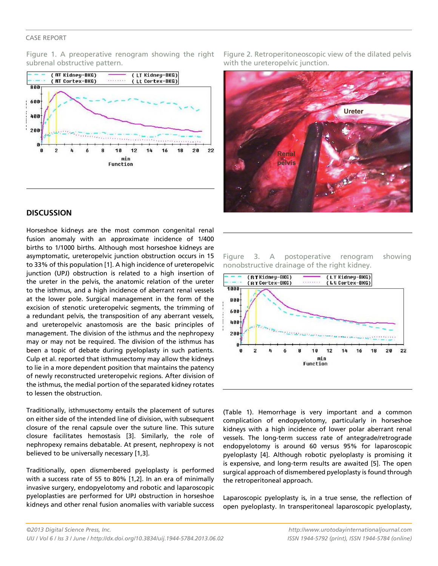#### Case Report

Figure 1. A preoperative renogram showing the right subrenal obstructive pattern.



### **Discussion**

Horseshoe kidneys are the most common congenital renal fusion anomaly with an approximate incidence of 1/400 births to 1/1000 births. Although most horseshoe kidneys are asymptomatic, ureteropelvic junction obstruction occurs in 15 to 33% of this population [1]. A high incidence of ureteropelvic junction (UPJ) obstruction is related to a high insertion of the ureter in the pelvis, the anatomic relation of the ureter to the isthmus, and a high incidence of aberrant renal vessels at the lower pole. Surgical management in the form of the excision of stenotic ureteropelvic segments, the trimming of a redundant pelvis, the transposition of any aberrant vessels, and ureteropelvic anastomosis are the basic principles of management. The division of the isthmus and the nephropexy may or may not be required. The division of the isthmus has been a topic of debate during pyeloplasty in such patients. Culp et al. reported that isthmusectomy may allow the kidneys to lie in a more dependent position that maintains the patency of newly reconstructed ureteropelvic regions. After division of the isthmus, the medial portion of the separated kidney rotates to lessen the obstruction.

Traditionally, isthmusectomy entails the placement of sutures on either side of the intended line of division, with subsequent closure of the renal capsule over the suture line. This suture closure facilitates hemostasis [3]. Similarly, the role of nephropexy remains debatable. At present, nephropexy is not believed to be universally necessary [1,3].

Traditionally, open dismembered pyeloplasty is performed with a success rate of 55 to 80% [1,2]. In an era of minimally invasive surgery, endopyelotomy and robotic and laparoscopic pyeloplasties are performed for UPJ obstruction in horseshoe kidneys and other renal fusion anomalies with variable success Figure 2. Retroperitoneoscopic view of the dilated pelvis with the ureteropelvic junction.



Figure 3. A postoperative renogram showing nonobstructive drainage of the right kidney.



(Table 1). Hemorrhage is very important and a common complication of endopyelotomy, particularly in horseshoe kidneys with a high incidence of lower polar aberrant renal vessels. The long-term success rate of antegrade/retrograde endopyelotomy is around 60 versus 95% for laparoscopic pyeloplasty [4]. Although robotic pyeloplasty is promising it is expensive, and long-term results are awaited [5]. The open surgical approach of dismembered pyeloplasty is found through the retroperitoneal approach.

Laparoscopic pyeloplasty is, in a true sense, the reflection of open pyeloplasty. In transperitoneal laparoscopic pyeloplasty,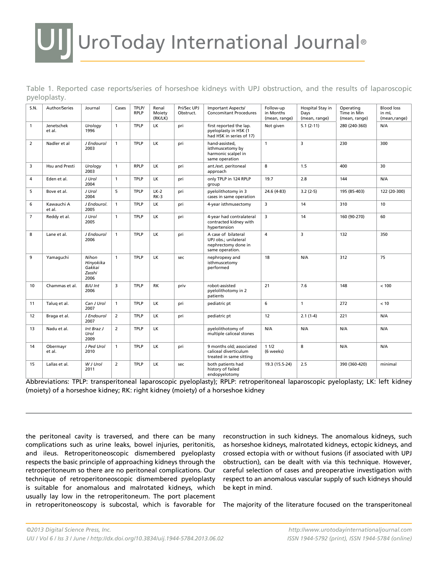## UI UroToday International Journal®

|              | Table 1. Reported case reports/series of horseshoe kidneys with UPJ obstruction, and the results of laparoscopic |  |  |  |  |  |  |
|--------------|------------------------------------------------------------------------------------------------------------------|--|--|--|--|--|--|
| pyeloplasty. |                                                                                                                  |  |  |  |  |  |  |

| S.N.           | Author/Series        | Journal                                        | Cases          | TPLP/<br><b>RPLP</b> | Renal<br>Moiety<br>(RK/LK) | Pri/Sec UPJ<br>Obstruct. | Important Aspects/<br><b>Concomitant Procedures</b>                                   | Follow-up<br>in Months<br>(mean, range) | Hospital Stay in<br>Days<br>(mean, range) | Operating<br>Time in Min<br>(mean, range) | <b>Blood loss</b><br>in mL<br>(mean,range) |
|----------------|----------------------|------------------------------------------------|----------------|----------------------|----------------------------|--------------------------|---------------------------------------------------------------------------------------|-----------------------------------------|-------------------------------------------|-------------------------------------------|--------------------------------------------|
| 1              | Jenetschek<br>et al. | Urology<br>1996                                | $\mathbf{1}$   | <b>TPLP</b>          | LK                         | pri                      | first reported the lap.<br>pyeloplasty in HSK (1<br>had HSK in series of 17)          | Not given                               | $5.1(2-11)$                               |                                           | N/A                                        |
| $\overline{2}$ | Nadler et al         | J Endourol<br>2003                             | $\mathbf{1}$   | <b>TPLP</b>          | <b>LK</b>                  | pri                      | hand-assisted.<br>isthmuscetomy by<br>harmonic scalpel in<br>same operation           | 3<br>230<br>$\mathbf{1}$                |                                           |                                           | 300                                        |
| 3              | Hsu and Presti       | Urology<br>2003                                | $\mathbf{1}$   | <b>RPLP</b>          | LK                         | pri                      | ant./ext. peritoneal<br>approach                                                      | 8<br>1.5                                |                                           | 400                                       | 30                                         |
| 4              | Eden et al.          | J Urol<br>2004                                 | $\mathbf{1}$   | <b>TPLP</b>          | LK                         | pri                      | only TPLP in 124 RPLP<br>group                                                        | 2.8<br>19.7                             |                                           | 144                                       | N/A                                        |
| 5              | Bove et al.          | J Urol<br>2004                                 | 5              | <b>TPLP</b>          | $LK-2$<br>$RK-3$           | pri                      | pyelolithotomy in 3<br>cases in same operation                                        | 24.6 (4-83)<br>$3.2(2-5)$               |                                           | 195 (85-403)                              | 122 (20-300)                               |
| 6              | Kawauchi A<br>et al. | J Endourol.<br>2005                            | $\mathbf{1}$   | <b>TPLP</b>          | LK.                        | pri                      | 4-year isthmusectomy                                                                  | 3<br>14                                 |                                           | 310                                       | 10                                         |
| $\overline{7}$ | Reddy et al.         | J Urol<br>2005                                 | $\mathbf{1}$   | <b>TPLP</b>          | <b>LK</b>                  | pri                      | 4-year had contralateral<br>contracted kidney with<br>hypertension                    | 3<br>14                                 |                                           | 160 (90-270)                              | 60                                         |
| 8              | Lane et al.          | J Endourol<br>2006                             | $\mathbf{1}$   | <b>TPLP</b>          | LK                         | pri                      | A case of bilateral<br>UPJ obs.; unilateral<br>nephrectomy done in<br>same operation. | 4                                       | 3                                         | 132                                       | 350                                        |
| 9              | Yamaquchi            | Nihon<br>Hinyokika<br>Gakkai<br>Zasshi<br>2006 | $\mathbf{1}$   | <b>TPLP</b>          | LK                         | sec                      | nephropexy and<br>isthmuscetomy<br>performed                                          | 18                                      | N/A                                       | 312                                       | 75                                         |
| 10             | Chammas et al.       | <b>BJU Int</b><br>2006                         | 3              | <b>TPLP</b>          | RK                         | priv                     | robot-assisted<br>pyelolithotomy in 2<br>patients                                     | 21                                      | 7.6                                       | 148                                       | < 100                                      |
| 11             | Talug et al.         | Can J Urol<br>2007                             | $\mathbf{1}$   | <b>TPLP</b>          | LK                         | pri                      | pediatric pt                                                                          | 6                                       | $\mathbf{1}$                              | 272                                       | < 10                                       |
| 12             | Braga et al.         | J Endourol<br>2007                             | 2              | <b>TPLP</b>          | LK                         | pri                      | pediatric pt                                                                          | 12                                      | $2.1(1-4)$                                | 221                                       | N/A                                        |
| 13             | Nadu et al.          | Int Braz J<br>Urol<br>2009                     | $\overline{2}$ | <b>TPLP</b>          | LK                         |                          | pyelolithotomy of<br>multiple caliceal stones                                         | N/A                                     | N/A                                       | N/A                                       | N/A                                        |
| 14             | Obermayr<br>et al.   | J Ped Urol<br>2010                             | $\mathbf{1}$   | <b>TPLP</b>          | LK                         | pri                      | 9 months old; associated<br>caliceal diverticulum<br>treated in same sitting          | 11/2<br>8<br>N/A<br>(6 weeks)           |                                           |                                           | N/A                                        |
| 15             | Lallas et al.        | W J Urol<br>2011                               | $\overline{2}$ | <b>TPLP</b>          | LK                         | sec                      | both patients had<br>history of failed<br>endopyelotomy                               | 19.3 (15.5-24)                          | 2.5                                       | 390 (360-420)                             | minimal                                    |

Abbreviations: TPLP: transperitoneal laparoscopic pyeloplasty); RPLP: retroperitoneal laparoscopic pyeloplasty; LK: left kidney (moiety) of a horseshoe kidney; RK: right kidney (moiety) of a horseshoe kidney

the peritoneal cavity is traversed, and there can be many complications such as urine leaks, bowel injuries, peritonitis, and ileus. Retroperitoneoscopic dismembered pyeloplasty respects the basic principle of approaching kidneys through the retroperitoneum so there are no peritoneal complications. Our technique of retroperitoneoscopic dismembered pyeloplasty is suitable for anomalous and malrotated kidneys, which usually lay low in the retroperitoneum. The port placement in retroperitoneoscopy is subcostal, which is favorable for reconstruction in such kidneys. The anomalous kidneys, such as horseshoe kidneys, malrotated kidneys, ectopic kidneys, and crossed ectopia with or without fusions (if associated with UPJ obstruction), can be dealt with via this technique. However, careful selection of cases and preoperative investigation with respect to an anomalous vascular supply of such kidneys should be kept in mind.

The majority of the literature focused on the transperitoneal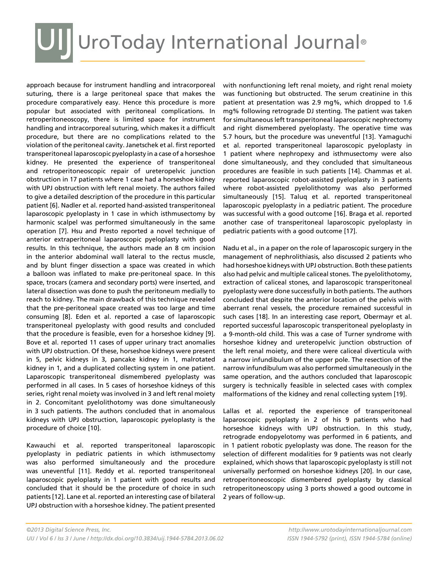# UI UroToday International Journal®

approach because for instrument handling and intracorporeal suturing, there is a large peritoneal space that makes the procedure comparatively easy. Hence this procedure is more popular but associated with peritoneal complications. In retroperitoneoscopy, there is limited space for instrument handling and intracorporeal suturing, which makes it a difficult procedure, but there are no complications related to the violation of the peritoneal cavity. Janetschek et al. first reported transperitoneal laparoscopic pyeloplasty in a case of a horseshoe kidney. He presented the experience of transperitoneal and retroperitoneoscopic repair of ureteropelvic junction obstruction in 17 patients where 1 case had a horseshoe kidney with UPJ obstruction with left renal moiety. The authors failed to give a detailed description of the procedure in this particular patient [6]. Nadler et al. reported hand-assisted transperitoneal laparoscopic pyeloplasty in 1 case in which isthmusectomy by harmonic scalpel was performed simultaneously in the same operation [7]. Hsu and Presto reported a novel technique of anterior extraperitoneal laparoscopic pyeloplasty with good results. In this technique, the authors made an 8 cm incision in the anterior abdominal wall lateral to the rectus muscle, and by blunt finger dissection a space was created in which a balloon was inflated to make pre-peritoneal space. In this space, trocars (camera and secondary ports) were inserted, and lateral dissection was done to push the peritoneum medially to reach to kidney. The main drawback of this technique revealed that the pre-peritoneal space created was too large and time consuming [8]. Eden et al. reported a case of laparoscopic transperitoneal pyeloplasty with good results and concluded that the procedure is feasible, even for a horseshoe kidney [9]. Bove et al. reported 11 cases of upper urinary tract anomalies with UPJ obstruction. Of these, horseshoe kidneys were present in 5, pelvic kidneys in 3, pancake kidney in 1, malrotated kidney in 1, and a duplicated collecting system in one patient. Laparoscopic transperitoneal dismembered pyeloplasty was performed in all cases. In 5 cases of horseshoe kidneys of this series, right renal moiety was involved in 3 and left renal moiety in 2. Concomitant pyelolithotomy was done simultaneously in 3 such patients. The authors concluded that in anomalous kidneys with UPJ obstruction, laparoscopic pyeloplasty is the procedure of choice [10].

Kawauchi et al. reported transperitoneal laparoscopic pyeloplasty in pediatric patients in which isthmusectomy was also performed simultaneously and the procedure was uneventful [11]. Reddy et al. reported transperitoneal laparoscopic pyeloplasty in 1 patient with good results and concluded that it should be the procedure of choice in such patients [12]. Lane et al. reported an interesting case of bilateral UPJ obstruction with a horseshoe kidney. The patient presented

with nonfunctioning left renal moiety, and right renal moiety was functioning but obstructed. The serum creatinine in this patient at presentation was 2.9 mg%, which dropped to 1.6 mg% following retrograde DJ stenting. The patient was taken for simultaneous left transperitoneal laparoscopic nephrectomy and right dismembered pyeloplasty. The operative time was 5.7 hours, but the procedure was uneventful [13]. Yamaguchi et al. reported transperitoneal laparoscopic pyeloplasty in 1 patient where nephropexy and isthmusectomy were also done simultaneously, and they concluded that simultaneous procedures are feasible in such patients [14]. Chammas et al. reported laparoscopic robot-assisted pyeloplasty in 3 patients where robot-assisted pyelolithotomy was also performed simultaneously [15]. Taluq et al. reported transperitoneal laparoscopic pyeloplasty in a pediatric patient. The procedure was successful with a good outcome [16]. Braga et al. reported another case of transperitoneal laparoscopic pyeloplasty in pediatric patients with a good outcome [17].

Nadu et al., in a paper on the role of laparoscopic surgery in the management of nephrolithiasis, also discussed 2 patients who had horseshoe kidneys with UPJ obstruction. Both these patients also had pelvic and multiple caliceal stones. The pyelolithotomy, extraction of caliceal stones, and laparoscopic transperitoneal pyeloplasty were done successfully in both patients. The authors concluded that despite the anterior location of the pelvis with aberrant renal vessels, the procedure remained successful in such cases [18]. In an interesting case report, Obermayr et al. reported successful laparoscopic transperitoneal pyeloplasty in a 9-month-old child. This was a case of Turner syndrome with horseshoe kidney and ureteropelvic junction obstruction of the left renal moiety, and there were caliceal diverticula with a narrow infundibulum of the upper pole. The resection of the narrow infundibulum was also performed simultaneously in the same operation, and the authors concluded that laparoscopic surgery is technically feasible in selected cases with complex malformations of the kidney and renal collecting system [19].

Lallas et al. reported the experience of transperitoneal laparoscopic pyeloplasty in 2 of his 9 patients who had horseshoe kidneys with UPJ obstruction. In this study, retrograde endopyelotomy was performed in 6 patients, and in 1 patient robotic pyeloplasty was done. The reason for the selection of different modalities for 9 patients was not clearly explained, which shows that laparoscopic pyeloplasty is still not universally performed on horseshoe kidneys [20]. In our case, retroperitoneoscopic dismembered pyeloplasty by classical retroperitoneoscopy using 3 ports showed a good outcome in 2 years of follow-up.